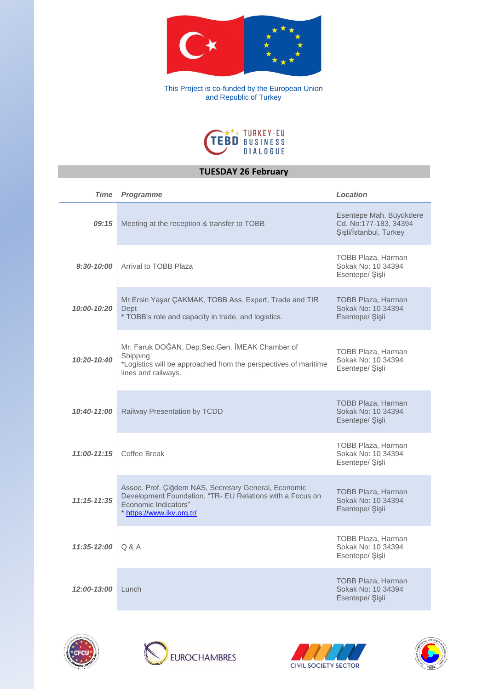

This Project is co-funded by the European Union and Republic of Turkey



# **TUESDAY 26 February**

| <b>Time</b>     | <b>Programme</b>                                                                                                                                                       | Location                                                                   |
|-----------------|------------------------------------------------------------------------------------------------------------------------------------------------------------------------|----------------------------------------------------------------------------|
| 09:15           | Meeting at the reception & transfer to TOBB                                                                                                                            | Esentepe Mah, Büyükdere<br>Cd. No:177-183, 34394<br>Şişli/İstanbul, Turkey |
| $9:30 - 10:00$  | Arrival to TOBB Plaza                                                                                                                                                  | TOBB Plaza, Harman<br>Sokak No: 10 34394<br>Esentepe/ Şişli                |
| 10:00-10:20     | Mr.Ersin Yaşar ÇAKMAK, TOBB Ass. Expert, Trade and TIR<br>Dept<br>* TOBB's role and capacity in trade, and logistics.                                                  | <b>TOBB Plaza, Harman</b><br>Sokak No: 10 34394<br>Esentepe/ Şişli         |
| 10:20-10:40     | Mr. Faruk DOĞAN, Dep.Sec.Gen. İMEAK Chamber of<br>Shipping<br>*Logistics will be approached from the perspectives of maritime<br>lines and railways.                   | TOBB Plaza, Harman<br>Sokak No: 10 34394<br>Esentepe/ Sişli                |
| 10:40-11:00     | Railway Presentation by TCDD                                                                                                                                           | <b>TOBB Plaza, Harman</b><br>Sokak No: 10 34394<br>Esentepe/ Şişli         |
| 11:00-11:15     | Coffee Break                                                                                                                                                           | TOBB Plaza, Harman<br>Sokak No: 10 34394<br>Esentepe/ Şişli                |
| $11:15 - 11:35$ | Assoc. Prof. Çiğdem NAS, Secretary General, Economic<br>Development Foundation, "TR- EU Relations with a Focus on<br>Economic Indicators"<br>* https://www.ikv.org.tr/ | <b>TOBB Plaza, Harman</b><br>Sokak No: 10 34394<br>Esentepe/ Sisli         |
| 11:35-12:00     | Q & A                                                                                                                                                                  | <b>TOBB Plaza, Harman</b><br>Sokak No: 10 34394<br>Esentepe/ Şişli         |
| 12:00-13:00     | Lunch                                                                                                                                                                  | <b>TOBB Plaza, Harman</b><br>Sokak No: 10 34394<br>Esentepe/Sisli          |







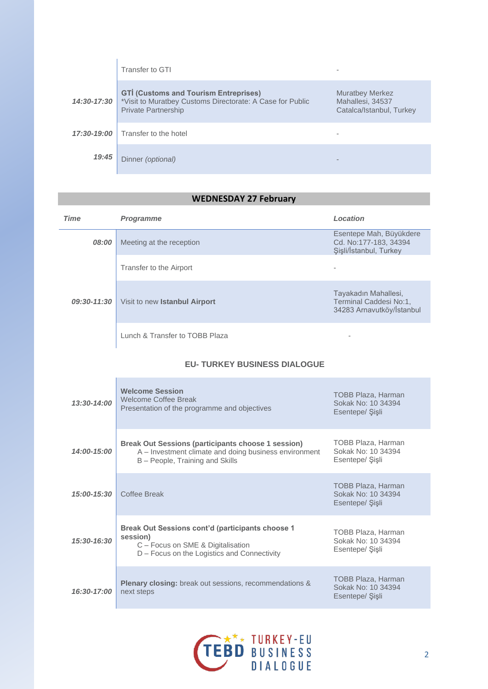|             | Transfer to GTI                                                                                                                         |                                                                        |
|-------------|-----------------------------------------------------------------------------------------------------------------------------------------|------------------------------------------------------------------------|
| 14:30-17:30 | <b>GTI (Customs and Tourism Entreprises)</b><br>*Visit to Muratbey Customs Directorate: A Case for Public<br><b>Private Partnership</b> | <b>Muratbey Merkez</b><br>Mahallesi, 34537<br>Catalca/Istanbul, Turkey |
| 17:30-19:00 | Transfer to the hotel                                                                                                                   |                                                                        |
| 19:45       | Dinner (optional)                                                                                                                       |                                                                        |

# **WEDNESDAY 27 February**

| <b>Time</b> | <b>Programme</b>                     | Location                                                                    |
|-------------|--------------------------------------|-----------------------------------------------------------------------------|
| 08:00       | Meeting at the reception             | Esentepe Mah, Büyükdere<br>Cd. No:177-183, 34394<br>Sisli/İstanbul, Turkey  |
| 09:30-11:30 | Transfer to the Airport              |                                                                             |
|             | Visit to new <b>Istanbul Airport</b> | Tayakadın Mahallesi,<br>Terminal Caddesi No:1,<br>34283 Arnavutköy/İstanbul |
|             | Lunch & Transfer to TOBB Plaza       |                                                                             |

## **EU- TURKEY BUSINESS DIALOGUE**

| $13:30-14:00$   | <b>Welcome Session</b><br>Welcome Coffee Break<br>Presentation of the programme and objectives                                                   | TOBB Plaza, Harman<br>Sokak No: 10 34394<br>Esentepe/ Sişli        |
|-----------------|--------------------------------------------------------------------------------------------------------------------------------------------------|--------------------------------------------------------------------|
| 14:00-15:00     | Break Out Sessions (participants choose 1 session)<br>A - Investment climate and doing business environment<br>B - People, Training and Skills   | TOBB Plaza, Harman<br>Sokak No: 10 34394<br>Esentepe/ Sişli        |
| $15:00 - 15:30$ | Coffee Break                                                                                                                                     | <b>TOBB Plaza, Harman</b><br>Sokak No: 10 34394<br>Esentepe/ Sişli |
| 15:30-16:30     | Break Out Sessions cont'd (participants choose 1<br>session)<br>C - Focus on SME & Digitalisation<br>D – Focus on the Logistics and Connectivity | TOBB Plaza, Harman<br>Sokak No: 10 34394<br>Esentepe/ Sişli        |
| 16:30-17:00     | <b>Plenary closing:</b> break out sessions, recommendations &<br>next steps                                                                      | <b>TOBB Plaza, Harman</b><br>Sokak No: 10 34394<br>Esentepe/ Sişli |

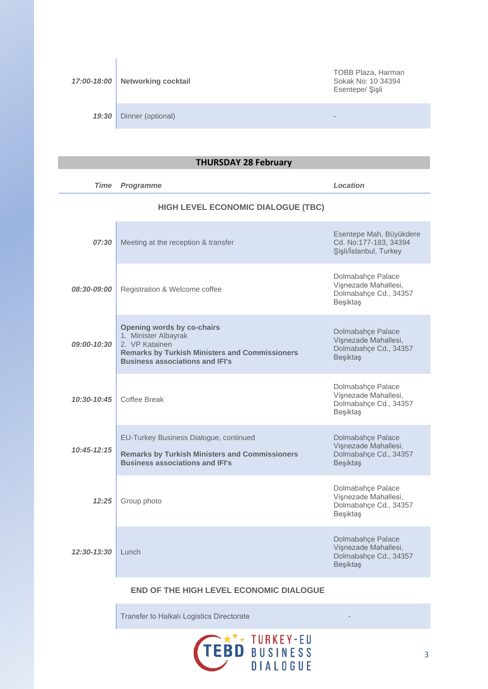| 17:00-18:00 | <b>Networking cocktail</b> | TOBB Plaza, Harman<br>Sokak No: 10 34394<br>Esentepe/ Şişli |
|-------------|----------------------------|-------------------------------------------------------------|
| 19:30       | Dinner (optional)          | $\,$                                                        |

# **THURSDAY 28 February**

| <b>Time</b>        | <b>Programme</b>                                                                                                                                                        | Location                                                                              |
|--------------------|-------------------------------------------------------------------------------------------------------------------------------------------------------------------------|---------------------------------------------------------------------------------------|
|                    | HIGH LEVEL ECONOMIC DIALOGUE (TBC)                                                                                                                                      |                                                                                       |
| 07:30              | Meeting at the reception & transfer                                                                                                                                     | Esentepe Mah, Büyükdere<br>Cd. No:177-183, 34394<br>Şişli/İstanbul, Turkey            |
| <i>08:30-09:00</i> | Registration & Welcome coffee                                                                                                                                           | Dolmabahçe Palace<br>Vişnezade Mahallesi,<br>Dolmabahçe Cd., 34357<br>Beşiktaş        |
| 09:00-10:30        | Opening words by co-chairs<br>1. Minister Albayrak<br>2. VP Katainen<br><b>Remarks by Turkish Ministers and Commissioners</b><br><b>Business associations and IFI's</b> | Dolmabahce Palace<br>Vişnezade Mahallesi,<br>Dolmabahçe Cd., 34357<br>Beşiktaş        |
| $10:30-10:45$      | Coffee Break                                                                                                                                                            | Dolmabahçe Palace<br>Vişnezade Mahallesi,<br>Dolmabahçe Cd., 34357<br>Beşiktaş        |
| $10:45 - 12:15$    | EU-Turkey Business Dialogue, continued<br><b>Remarks by Turkish Ministers and Commissioners</b><br><b>Business associations and IFI's</b>                               | Dolmabahçe Palace<br>Vişnezade Mahallesi,<br>Dolmabahçe Cd., 34357<br>Beşiktaş        |
| 12:25              | Group photo                                                                                                                                                             | Dolmabahçe Palace<br>Vişnezade Mahallesi,<br>Dolmabahçe Cd., 34357<br>Beşiktaş        |
| 12:30-13:30        | Lunch                                                                                                                                                                   | Dolmabahçe Palace<br>Vișnezade Mahallesi,<br>Dolmabahçe Cd., 34357<br><b>Beşiktaş</b> |

### **END OF THE HIGH LEVEL ECONOMIC DIALOGUE**

Transfer to Halkalı Logistics Directorate -